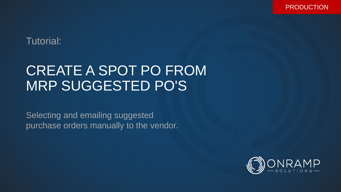PRODUCTION

## Tutorial:

## CREATE A SPOT PO FROM MRP SUGGESTED PO'S

Selecting and emailing suggested purchase orders manually to the vendor.

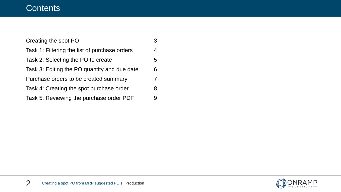## **Contents**

| Creating the spot PO                          | 3 |
|-----------------------------------------------|---|
| Task 1: Filtering the list of purchase orders | 4 |
| Task 2: Selecting the PO to create            | 5 |
| Task 3: Editing the PO quantity and due date  | 6 |
| Purchase orders to be created summary         | 7 |
| Task 4: Creating the spot purchase order      | 8 |
| Task 5: Reviewing the purchase order PDF      | 9 |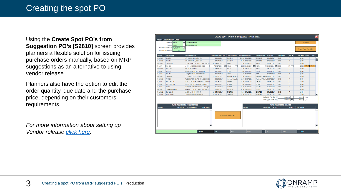Using the **Create Spot PO's from Suggestion PO's [S2810]** screen provides planners a flexible solution for issuing purchase orders manually, based on MRP suggestions as an alternative to using vendor release.

Planners also have the option to edit the order quantity, due date and the purchase price, depending on their customers requirements.

*For more information about setting up Vendor release [click here.](https://secure.onramp-solutions.com/tutorials/p1026/p1026.pdf)*

|         |                                    |                                                  |                                       |                                          | Create Spot POs From Suggested POs [S2810] |                             |                                                 |                                |                                  |                               | $(\overline{\mathbf{x}})$ |
|---------|------------------------------------|--------------------------------------------------|---------------------------------------|------------------------------------------|--------------------------------------------|-----------------------------|-------------------------------------------------|--------------------------------|----------------------------------|-------------------------------|---------------------------|
|         | Create Spot Purchase Order         |                                                  |                                       |                                          |                                            |                             |                                                 |                                |                                  |                               |                           |
|         | Planner: <all></all>               | Select All Records                               |                                       |                                          |                                            |                             |                                                 |                                |                                  | Run MRP                       |                           |
|         | Vendor:<br>$<$ ALL>                | Select All Records                               |                                       |                                          |                                            |                             |                                                 |                                |                                  |                               |                           |
|         | m<br>MRP Start Date <=: 06/29/2017 |                                                  |                                       |                                          |                                            |                             |                                                 |                                |                                  | <b>Reset Order Quantities</b> |                           |
|         | Only Order Qty > 0:<br>No          |                                                  |                                       |                                          |                                            |                             |                                                 |                                |                                  |                               |                           |
|         |                                    |                                                  |                                       |                                          |                                            |                             |                                                 |                                |                                  |                               |                           |
| Planner | <b>Part Number</b>                 | <b>Part Description</b>                          | Lead: MRP Start Date: Default Vendor: |                                          | <b>MRP Qty MRP Date</b>                    | <b>Order Vendor</b>         | Due Date                                        | <b>Order Oty</b>               | $UM \nabla$                      | Pur Price Select              | Clear                     |
| P-RAW-S | $BR-.25-2$                         | 1/4 ROUND BAR, 1018 CD                           | 7 04/04/2017                          | EARLEMI                                  | 840.00 04/13/2017                          | EARLEMJ                     | 04/13/2017                                      | 0.00                           | FT.                              | \$0.00                        | ▲                         |
| P-RAW-S | $BR - 25 - 2$                      | 1/4 ROUND BAR, 1018 CD                           | 7 04/17/2017                          | <b>EARLEMD</b>                           | 84.00 04/26/2017                           | EARLEMI                     | 04/26/2017                                      | 0.00                           | FT.                              | \$0.00                        |                           |
| P-RAW-S | TB-2.375-1                         | 2.375" OD X .625" W CAT SPEC 1E1702              | 60 04/07/2017                         | <b>EMJUS</b>                             | 20.00 07/05/2017                           | <b>EMJUS</b>                | 07/05/2017                                      | 0.00                           | FT.                              | \$0.00                        |                           |
| P-RAW   | <b>BRS-.5-2</b>                    | .5 SQ A1018 CD (6829000822)                      | 703/27/2017                           | <b>METAL</b><br>$\overline{\phantom{a}}$ | 12.00 04/05/2017   METAL                   |                             | $\blacktriangledown$ 04/05/2017 $\boxed{}$ 0.00 |                                | FT V                             | \$0.00 Select                 | Clear                     |
| P-RAW-S | BR-.375-3                          | SRC 1045 3/8 DIA                                 | 14 04/06/2017                         | <b>METAL</b>                             | 12.00 04/27/2017                           | <b>METAL</b>                | 04/27/2017                                      | 0.00                           | FT.                              | \$0.00                        |                           |
| P-RAW   | BRS-.5-2                           | .5 SQ A1018 CD (6829000822)                      | 7 04/18/2017                          | <b>METAL</b>                             | 12.00 04/27/2017                           | <b>METAL</b>                | 04/27/2017                                      | 0.00                           | FT.                              | \$0.00                        |                           |
| P-RAW   | BRS-.5-2                           | .5 SQ A1018 CD (6829000822)                      | 7 06/14/2017                          | <b>METAL</b>                             | 10.00 06/23/2017                           | <b>METAL</b>                | 06/23/2017                                      | 0.00                           | FT.                              | \$0.00                        |                           |
| P-RAW-S | TB-3.75-1                          | 3.750"OD X 2.625"ID, 1026                        | 14 05/15/2017                         | <b>National Tube Ca</b>                  | 20.00 06/05/2017                           | National Tube Ca 06/05/2017 |                                                 | 0.00                           | FT.                              | \$0.00                        |                           |
| P-RAW-S | TB-3.5-1                           | TUBE, 3.5"OD X 2.5"ID CD 1026 (68290)            | 7 05/29/2017                          | <b>National Tube Ca</b>                  | 20.00 06/07/2017                           | National Tube Ca 06/07/2017 |                                                 | 0.00                           | FT.                              | \$0.00                        |                           |
| P-RAW   | BRF-1.5X3.00                       | 1.50 X 3.00 1018CD-MS-9/6829000822               | 7 04/26/2017                          | <b>RESMET</b>                            | 20.00 05/05/2017                           | <b>RESMET</b>               | 05/05/2017                                      | 0.00                           | FT.                              | \$0.00                        |                           |
| P-RAW   | BRF-.375X1.00                      | .375 X 1.00 1018 CD (6829000822)                 | 7 04/28/2017                          | <b>RESMET</b>                            | 20.00 05/09/2017                           | <b>RESMET</b>               | 05/09/2017                                      | 0.00                           | FT                               | \$0.00                        |                           |
| P-RAW   | $BR-2-1$                           | 2.00"DIA, 1018 Cold Drawn Steel Spec             | 7 05/30/2017                          | <b>RESMET</b>                            | 20.00 06/08/2017                           | <b>RESMET</b>               | 06/08/2017                                      | 0.00                           | FT                               | \$0.00                        |                           |
| P-RAW-S | CH-44W-C6X10.5                     | CHANNEL, C6X10.5 44W (1E0170), 20'               | 7 05/03/2017                          | <b>SIMSTEEL</b>                          | 40.00 05/12/2017                           | SIMSTEEL                    | 05/12/2017                                      | 0.00                           | FT.                              | \$0.00                        |                           |
| P-RAW-S | BRF-2X.188                         | .188 X 2.000 GR 44W HR                           | 10 05/04/2017                         | <b>SIMSTEEL</b>                          | 40.00 05/18/2017                           | <b>SIMSTEEL</b>             | 05/18/2017                                      | 0.00                           | <b>FT</b>                        | \$0.00                        |                           |
| P-RAW-S | BR-.5 DIA HR                       | .500 DIA 44W (6829002574)                        | 21 04/26/2017                         | <b>SIMSTEEL</b>                          | 72.00 05/26/2017                           | <b>SIMSTEEL</b>             | 05/26/2017                                      | 0.00                           | FT.                              | \$0.00                        | $\overline{\phantom{a}}$  |
|         |                                    |                                                  |                                       |                                          |                                            |                             | Order Oty (Vend UM):                            |                                | $0.0000$ KG $\blacktriangledown$ | 0.2000 FT/KG                  |                           |
|         |                                    |                                                  |                                       |                                          |                                            |                             | Order Qty (Count UM):                           | 0.0000                         | lΕT<br>lv                        | 1.0000 FT/FT                  |                           |
|         |                                    | <b>PURCHASE ORDERS TO BE CREATED</b>             |                                       |                                          |                                            |                             |                                                 | <b>PURCHASE ORDERS CREATED</b> |                                  |                               |                           |
| Vendor: |                                    | <b>Total Value</b><br>Part Count Total Order Qty |                                       |                                          | <b>Vendor</b>                              |                             | <b>PO Number</b><br>PO PDF                      |                                | <b>Email</b>                     | <b>Email Status</b>           |                           |
|         |                                    |                                                  |                                       |                                          |                                            |                             |                                                 |                                |                                  |                               | ▲                         |
|         |                                    |                                                  |                                       |                                          |                                            |                             |                                                 |                                |                                  |                               |                           |
|         |                                    |                                                  |                                       | <b>Create Purchase Orders</b>            |                                            |                             |                                                 |                                |                                  |                               |                           |
|         |                                    |                                                  |                                       |                                          |                                            |                             |                                                 |                                |                                  |                               |                           |
|         |                                    |                                                  |                                       |                                          |                                            |                             |                                                 |                                |                                  |                               |                           |
|         |                                    |                                                  |                                       |                                          |                                            |                             |                                                 |                                |                                  |                               |                           |
|         |                                    |                                                  |                                       |                                          |                                            |                             |                                                 |                                |                                  |                               |                           |
|         |                                    |                                                  | $\overline{\phantom{a}}$              |                                          |                                            |                             |                                                 |                                |                                  |                               |                           |
|         |                                    |                                                  |                                       |                                          |                                            |                             |                                                 |                                |                                  |                               |                           |
|         |                                    | <b>Browse</b>                                    | Edit                                  | Add                                      | Delete                                     |                             | OK                                              | Cancel                         |                                  | Print                         |                           |

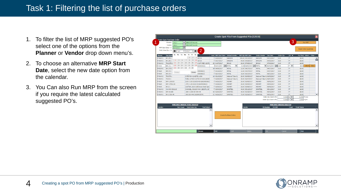- 1. To filter the list of MRP suggested PO's select one of the options from the **Planner** or **Vendor** drop down menu's.
- 2. To choose an alternative **MRP Start Date**, select the new date option from the calendar.
- 3. You Can also Run MRP from the screen if you require the latest calculated suggested PO's.

|         |                                   |           |                      |                          |                  |                                      |                                      |                          |               | Create Spot POs From Suggested POs [S2810] |                            |                     |                                  |                  |                                  |                               | $\mathbf{\overline{x}}$  |
|---------|-----------------------------------|-----------|----------------------|--------------------------|------------------|--------------------------------------|--------------------------------------|--------------------------|---------------|--------------------------------------------|----------------------------|---------------------|----------------------------------|------------------|----------------------------------|-------------------------------|--------------------------|
|         | <b>Treate Spot Purchase Order</b> |           |                      |                          |                  |                                      |                                      |                          |               |                                            |                            |                     |                                  |                  |                                  |                               |                          |
|         | Planner: <all></all>              |           |                      |                          |                  | Select All Records                   |                                      |                          |               |                                            |                            |                     |                                  |                  | 3                                | <b>Run MRP</b>                |                          |
|         | Vendor: <all></all>               |           |                      | $\overline{\phantom{a}}$ |                  | Select All Records                   |                                      |                          |               |                                            |                            |                     |                                  |                  |                                  |                               |                          |
|         | MRP Start Date <=: 06/29/2017     |           |                      | m                        |                  |                                      |                                      |                          |               |                                            |                            |                     |                                  |                  |                                  | <b>Reset Order Quantities</b> |                          |
|         | Only Order Qty $> 0$ :            | $\bullet$ | Jun                  | $\mathbf{v}$             | $2017$ $\bullet$ | $\bullet$                            | 2                                    |                          |               |                                            |                            |                     |                                  |                  |                                  |                               |                          |
| Planner | <b>Part Numb</b>                  |           | Su Mo Tu We Th Fr Sa |                          |                  |                                      |                                      |                          |               | Lead: MRP Start Date: Default Vendor:      | <b>MRP Qty MRP Date</b>    | <b>Order Vendor</b> | Due Date                         | <b>Order Oty</b> | UM V                             | Pur Price Select              | Clear                    |
| P-RAW-S | $BR - 25 - 2$                     |           |                      |                          |                  | $1 \t 2 \t 3 \t 18 CD$               |                                      |                          | 7 04/04/2017  | EARLEMI                                    | 840.00 04/13/2017          | <b>EARLEMI</b>      | 04/13/2017                       | 0.00             | FT.                              | \$0.00                        |                          |
| P-RAW-S | $BR - 25 - 2$                     |           | 455                  |                          |                  | 7 8 9 10 18 CD                       |                                      |                          | 7 04/17/2017  | EARLEMD                                    | 84.00 04/26/2017           | EARLEMI             | 04/26/2017                       | 0.00             | FT.                              | \$0.00                        |                          |
| P-RAW-S | TB-2.375-1                        |           | $11 \qquad 12$<br>13 |                          |                  |                                      | 14 15 16 17 V CAT SPEC 1E1702        |                          | 60 04/07/2017 | <b>EMJUS</b>                               | 20.00 07/05/2017           | <b>EMJUS</b>        | 07/05/2017                       | 0.00             | FT.                              | \$0.00                        |                          |
| P-RAW   | <b>BRS-.5-2</b>                   |           | 18 19 20             |                          |                  |                                      | 21 22 23 24 829000822)               |                          | 703/27/2017   | <b>METAL</b><br>$\overline{\phantom{0}}$   | 12.00 04/05/2017   图 METAL |                     | $\bullet$ 04/05/2017 $\sin 0.00$ |                  | IFT V                            | Select<br>\$0.00              | Clear                    |
| P-RAW-S | BR-.375-3                         |           | 25 26 27 28 29 30    |                          |                  |                                      |                                      |                          | 14 04/06/2017 | <b>METAL</b>                               | 12.00 04/27/2017           | <b>METAL</b>        | 04/27/2017                       | 0.00             | FT.                              | \$0.00                        |                          |
| P-RAW   | <b>BRS-.5-2</b>                   |           |                      |                          |                  |                                      | \$29000822)                          |                          | 7 04/18/2017  | <b>METAL</b>                               | 12.00 04/27/2017           | <b>METAL</b>        | 04/27/2017                       | 0.00             | FT.                              | \$0.00                        |                          |
| P-RAW   | <b>BRS-.5-2</b>                   |           | Today                |                          |                  | Done                                 | 329000822)                           |                          | 7 06/14/2017  | <b>METAL</b>                               | 10.00 06/23/2017           | <b>METAL</b>        | 06/23/2017                       | 0.00             | FT.                              | \$0.00                        |                          |
| P-RAW-S | TB-3.75-1                         |           |                      |                          |                  | 3.750"OD X 2.625"ID, 1026            |                                      |                          | 14 05/15/2017 | National Tube Ca                           | 20.00 06/05/2017           |                     | National Tube Ca 06/05/2017      | 0.00             | FT.                              | \$0.00                        |                          |
| P-RAW-S | TB-3.5-1                          |           |                      |                          |                  |                                      | TUBE, 3.5"OD X 2.5"ID CD 1026 (68290 |                          | 7 05/29/2017  | National Tube Ca                           | 20.00 06/07/2017           |                     | National Tube Ca 06/07/2017      | 0.00             | FT.                              | \$0.00                        |                          |
| P-RAW   | BRF-1.5X3.00                      |           |                      |                          |                  |                                      | 1.50 X 3.00 1018CD-MS-9/6829000822   |                          | 7 04/26/2017  | <b>RESMET</b>                              | 20.00 05/05/2017           | <b>RESMET</b>       | 05/05/2017                       | 0.00             | FT.                              | \$0.00                        |                          |
| P-RAW   | BRF-.375X1.00                     |           |                      |                          |                  |                                      | .375 X 1.00 1018 CD (6829000822)     |                          | 7 04/28/2017  | <b>RESMET</b>                              | 20.00 05/09/2017           | <b>RESMET</b>       | 05/09/2017                       | 0.00             | FT.                              | \$0.00                        |                          |
| P-RAW   | $BR-2-1$                          |           |                      |                          |                  |                                      | 2.00"DIA, 1018 Cold Drawn Steel Spec |                          | 7 05/30/2017  | <b>RESMET</b>                              | 20.00 06/08/2017           | <b>RESMET</b>       | 06/08/2017                       | 0.00             | FT.                              | \$0.00                        |                          |
| P-RAW-S | CH-44W-C6X10.5                    |           |                      |                          |                  |                                      | CHANNEL, C6X10.5 44W (1E0170), 20'   |                          | 7 05/03/2017  | <b>SIMSTEEL</b>                            | 40.00 05/12/2017           | <b>SIMSTEEL</b>     | 05/12/2017                       | 0.00             | FT.                              | \$0.00                        |                          |
| P-RAW-S | BRF-2X.188                        |           |                      |                          |                  | .188 X 2.000 GR 44W HR               |                                      |                          | 10 05/04/2017 | <b>SIMSTEEL</b>                            | 40.00 05/18/2017           | <b>SIMSTEEL</b>     | 05/18/2017                       | 0.00             | FT.                              | \$0.00                        |                          |
| P-RAW-S | BR-.5 DIA HR                      |           |                      |                          |                  |                                      | .500 DIA 44W (6829002574)            |                          | 21 04/26/2017 | <b>SIMSTEEL</b>                            | 72.00 05/26/2017           | <b>SIMSTEEL</b>     | 05/26/2017                       | 0.00             | FT.                              | \$0.00                        | $\overline{\phantom{a}}$ |
|         |                                   |           |                      |                          |                  |                                      |                                      |                          |               |                                            |                            |                     | Order Qty (Vend UM):             |                  | $0.0000$ KG $\blacktriangledown$ | 0.2000 FT/KG                  |                          |
|         |                                   |           |                      |                          |                  |                                      |                                      |                          |               |                                            |                            |                     | Order Oty (Count UM):            |                  | $0.0000$ FT $\blacktriangledown$ | 1.0000 FT/FT                  |                          |
|         |                                   |           |                      |                          |                  | <b>PURCHASE ORDERS TO BE CREATED</b> |                                      |                          |               |                                            |                            |                     | <b>PURCHASE ORDERS CREATED</b>   |                  |                                  |                               |                          |
| Vendor: |                                   |           |                      |                          |                  | Part Count Total Order Oty           | <b>Total Value</b>                   |                          |               |                                            | Vendor                     |                     | PO Number<br>PO PDF              |                  | Email                            | <b>Email Status</b>           |                          |
|         |                                   |           |                      |                          |                  |                                      |                                      | ▲                        |               |                                            |                            |                     |                                  |                  |                                  |                               |                          |
|         |                                   |           |                      |                          |                  |                                      |                                      |                          |               | <b>Create Purchase Orders</b>              |                            |                     |                                  |                  |                                  |                               |                          |
|         |                                   |           |                      |                          |                  |                                      |                                      |                          |               |                                            |                            |                     |                                  |                  |                                  |                               |                          |
|         |                                   |           |                      |                          |                  |                                      |                                      | $\overline{\phantom{0}}$ |               |                                            |                            |                     |                                  |                  |                                  |                               |                          |
|         |                                   |           |                      |                          |                  |                                      | <b>Browse</b>                        |                          | Edit          | Add                                        | Delete                     |                     | <b>OK</b>                        | Cancel           |                                  | Print                         |                          |
|         |                                   |           |                      |                          |                  |                                      |                                      |                          |               |                                            |                            |                     |                                  |                  |                                  |                               |                          |

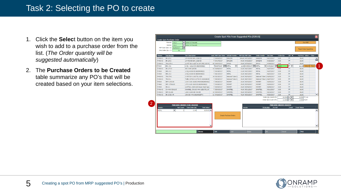- 1. Click the **Selec**t button on the item you wish to add to a purchase order from the list. (*The Order quantity will be suggested automatically*)
- 2. The **Purchase Orders to be Created**  table summarize any PO's that will be created based on your item selections.

|              |                                                               |                                                  | Create Spot POs From Suggested POs [S2810] |                                   |                   |                     |                                                  |                                |                 |                               |                |
|--------------|---------------------------------------------------------------|--------------------------------------------------|--------------------------------------------|-----------------------------------|-------------------|---------------------|--------------------------------------------------|--------------------------------|-----------------|-------------------------------|----------------|
|              | <b>Create Spot Purchase Order</b><br><all><br/>Planner:</all> | Select All Records                               |                                            |                                   |                   |                     |                                                  |                                |                 |                               | <b>Run MRP</b> |
|              | Vendor:<br>$<$ ALL $>$                                        | Select All Records                               |                                            |                                   |                   |                     |                                                  |                                |                 |                               |                |
|              | MRP Start Date <=: 06/29/2017                                 | m                                                |                                            |                                   |                   |                     |                                                  |                                |                 |                               |                |
|              | Only Order $Qty > 0$ :<br>No                                  |                                                  |                                            |                                   |                   |                     |                                                  |                                |                 | <b>Reset Order Quantities</b> |                |
|              |                                                               |                                                  |                                            |                                   |                   |                     |                                                  |                                |                 |                               |                |
| Planner      | <b>Part Number</b>                                            | <b>Part Description</b>                          | Lead: MRP Start Date: Default Vendor:      |                                   | MRP Oty MRP Date  | <b>Order Vendor</b> | <b>Due Date</b>                                  | <b>Order Oty</b>               | UM <sub>V</sub> | Pur Price Select Clear        |                |
| P-RAW-S      | BR-.25-2                                                      | 1/4 ROUND BAR, 1018 CD                           | 7 04/04/2017                               | EARLEMI                           | 840.00 04/13/2017 | EARLEMI             | 04/13/2017                                       | 0.00                           | FT.             | \$0.00                        |                |
| P-RAW-S      | $BR - 25 - 2$                                                 | 1/4 ROUND BAR, 1018 CD                           | 7 04/17/2017                               | EARLEMI                           | 84.00 04/26/2017  | EARLEMI             | 04/26/2017                                       | 0.00                           | FT.             | \$0.00                        |                |
| P-RAW-S      | TB-2.375-1                                                    | 2.375" OD X .625" W CAT SPEC 1E1702              | 60 04/07/2017                              | <b>EMJUS</b>                      | 20.00 07/05/2017  | <b>EMJUS</b>        | 07/05/2017                                       | 0.00                           | FT.             | \$0.00                        |                |
| P-RAW        | <b>BRS-.5-2</b>                                               | .5 SQ A1018 CD (6829000822)                      | 703/27/2017                                | METAL<br>$\overline{\phantom{a}}$ | 12.00 04/05/2017  | <b>METAL</b>        | $\triangledown$ 04/05/2017 $\frac{1}{100}$ 12.00 |                                | FT V            | $$11.25$ Select               | Clear          |
| P-RAW-S      | BR-.375-3                                                     | SRC 1045 3/8 DIA                                 | 14 04/06/2017                              | <b>METAL</b>                      | 12.00 04/27/2017  | <b>METAL</b>        | 04/27/2017                                       | 0.00                           | FT.             | \$0.00                        |                |
| P-RAW        | <b>BRS-.5-2</b>                                               | .5 SQ A1018 CD (6829000822)                      | 7 04/18/2017                               | <b>METAL</b>                      | 12.00 04/27/2017  | <b>METAL</b>        | 04/27/2017                                       | 0.00                           | FT.             | \$0.00                        |                |
| P-RAW        | BRS-.5-2                                                      | .5 SQ A1018 CD (6829000822)                      | 7 06/14/2017                               | <b>METAL</b>                      | 10.00 06/23/2017  | <b>METAL</b>        | 06/23/2017                                       | 0.00                           | FT              | \$0.00                        |                |
| P-RAW-S      | TB-3.75-1                                                     | 3.750"OD X 2.625"ID, 1026                        | 14 05/15/2017                              | National Tube Ca                  | 20.00 06/05/2017  |                     | National Tube Ca 06/05/2017                      | 0.00                           | FT.             | \$0.00                        |                |
| P-RAW-S      | TB-3.5-1                                                      | TUBE, 3.5"OD X 2.5"ID CD 1026 (68290             | 7 05/29/2017                               | <b>National Tube Ca</b>           | 20.00 06/07/2017  |                     | National Tube Ca 06/07/2017                      | 0.00                           | FT              | \$0.00                        |                |
| P-RAW        | BRF-1.5X3.00                                                  | 1.50 X 3.00 1018CD-MS-9/6829000822               | 7 04/26/2017                               | <b>RESMET</b>                     | 20.00 05/05/2017  | <b>RESMET</b>       | 05/05/2017                                       | 0.00                           | FT.             | \$0.00                        |                |
| P-RAW        | BRF-.375X1.00                                                 | .375 X 1.00 1018 CD (6829000822)                 | 7 04/28/2017                               | <b>RESMET</b>                     | 20.00 05/09/2017  | <b>RESMET</b>       | 05/09/2017                                       | 0.00                           | FT.             | \$0.00                        |                |
| P-RAW        | $BR-2-1$                                                      | 2.00"DIA, 1018 Cold Drawn Steel Spec             | 7 05/30/2017                               | <b>RESMET</b>                     | 20.00 06/08/2017  | <b>RESMET</b>       | 06/08/2017                                       | 0.00                           | FT.             | \$0.00                        |                |
| P-RAW-S      | CH-44W-C6X10.5                                                | CHANNEL, C6X10.5 44W (1E0170), 20'               | 7 05/03/2017                               | <b>SIMSTEEL</b>                   | 40.00 05/12/2017  | <b>SIMSTEEL</b>     | 05/12/2017                                       | 0.00                           | FT.             | \$0.00                        |                |
| P-RAW-S      | BRF-2X.188                                                    | .188 X 2.000 GR 44W HR                           | 10 05/04/2017                              | SIMSTEEL                          | 40.00 05/18/2017  | <b>SIMSTEEL</b>     | 05/18/2017                                       | 0.00                           | FT.             | \$0.00                        |                |
| P-RAW-S      | BR-.5 DIA HR                                                  | .500 DIA 44W (6829002574)                        | 21 04/26/2017                              | <b>SIMSTEEL</b>                   | 72.00 05/26/2017  | <b>SIMSTEEL</b>     | 05/26/2017                                       | 0.00                           | FT.             | \$0.00                        |                |
|              |                                                               |                                                  |                                            |                                   |                   |                     | Order Qty (Vend UM):                             |                                | 60.0000 KG →    | 0.2000 FT/KG                  |                |
|              |                                                               |                                                  |                                            |                                   |                   |                     | Order Qty (Count UM):                            |                                | 12.0000 FT      | 1.0000 FT/FT                  |                |
|              |                                                               | <b>PURCHASE ORDERS TO BE CREATED</b>             |                                            |                                   |                   |                     |                                                  | <b>PURCHASE ORDERS CREATED</b> |                 |                               |                |
| Vendor:      |                                                               | <b>Total Value</b><br>Part Count Total Order Qty |                                            |                                   | <b>Vendor</b>     |                     | <b>PO Number</b><br>PO PDF                       |                                | <b>Email</b>    | <b>Email Status</b>           |                |
| <b>METAL</b> | $\overline{\phantom{a}}$                                      | $$135.00$ $\triangle$<br>12.00                   |                                            |                                   |                   |                     |                                                  |                                |                 |                               |                |
|              |                                                               |                                                  |                                            |                                   |                   |                     |                                                  |                                |                 |                               |                |
|              |                                                               |                                                  |                                            | <b>Create Purchase Orders</b>     |                   |                     |                                                  |                                |                 |                               |                |
|              |                                                               |                                                  |                                            |                                   |                   |                     |                                                  |                                |                 |                               |                |
|              |                                                               |                                                  |                                            |                                   |                   |                     |                                                  |                                |                 |                               |                |
|              |                                                               |                                                  |                                            |                                   |                   |                     |                                                  |                                |                 |                               |                |
|              |                                                               |                                                  |                                            |                                   |                   |                     |                                                  |                                |                 |                               |                |
|              |                                                               |                                                  |                                            |                                   |                   |                     |                                                  |                                |                 |                               |                |
|              |                                                               |                                                  |                                            |                                   |                   |                     |                                                  |                                |                 |                               |                |

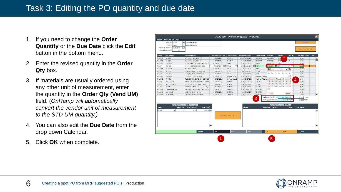- 1. If you need to change the **Order Quantity** or the **Due Date** click the **Edit**  button in the bottom menu.
- 2. Enter the revised quantity in the **Order Qty** box.
- 3. If materials are usually ordered using any other unit of measurement, enter the quantity in the **Order Qty (Vend UM)**  field. (*OnRamp will automatically convert the vendor unit of measurement to the STD UM quantity.)*
- 4. You can also edit the **Due Date** from the drop down Calendar.
- 5. Click **OK** when complete.

|              |                                        |                                                  |                          |                                   | Create Spot POs From Suggested POs [S2810] |                     |                                               |                                              |                                     |       |
|--------------|----------------------------------------|--------------------------------------------------|--------------------------|-----------------------------------|--------------------------------------------|---------------------|-----------------------------------------------|----------------------------------------------|-------------------------------------|-------|
|              | Create Spot Purchase Order             |                                                  |                          |                                   |                                            |                     |                                               |                                              |                                     |       |
|              | <all><br/>Planner:</all>               | Select All Records                               |                          |                                   |                                            |                     |                                               |                                              | <b>Run MRP</b>                      |       |
|              | <all><br/>Vendor:</all>                | Select All Records<br>▼                          |                          |                                   |                                            |                     |                                               |                                              |                                     |       |
|              | 06/29/2017<br>MRP Start Date $\leq$ =: | 論                                                |                          |                                   |                                            |                     |                                               |                                              | <b>Reset Order Quantities</b>       |       |
|              | Only Order Qty > 0:<br>No              |                                                  |                          |                                   |                                            |                     |                                               |                                              |                                     |       |
| Planner      | <b>Part Number</b>                     | <b>Part Description</b>                          | Lead: MRP Start Date:    | Default Vendor:                   | MRP Qty MRP Date                           | <b>Order Vendor</b> | <b>Due Date</b>                               | Order <sup>n+</sup>                          | Pur Price Select<br>UM <sub>V</sub> | Clear |
| P-RAW-S      | $BR - 25 - 2$                          | 1/4 ROUND BAR, 1018 CD                           | 7 04/04/2017             | EARLEMI                           | 840.00 04/13/2017                          | <b>EARLEMI</b>      | 04/13/2017                                    | 0.00<br>$\overline{2}$<br><b>FT</b>          | \$0.00                              |       |
| P-RAW-S      | $BR - 25 - 2$                          | 1/4 ROUND BAR, 1018 CD                           | 7 04/17/2017             | EARLEMI                           | 84.00 04/26/2017                           | EARLEMI             | 04/26/2017                                    | FT<br>0.00                                   | \$0.00                              |       |
| P-RAW-S      | TB-2.375-1                             | 2.375" OD X .625" W CAT SPEC 1E1702              | 60 04/07/2017            | <b>EMJUS</b>                      | 20.00 07/05/2017                           | <b>EMJUS</b>        | 07/05/2017                                    | 0.00<br>FT.                                  | \$0.00                              |       |
| P-RAW        | <b>BRS-.5-2</b>                        | .5 SQ A1018 CD (6829000822)                      | 703/27/2017              | METAL<br>$\overline{\phantom{a}}$ | 12.00 04/05/2017                           | <b>METAL</b>        | $\sqrt{04/05/2017}$ 30                        |                                              | FT V<br>\$11.25                     | Clear |
| P-RAW-S      | BR-.375-3                              | SRC 1045 3/8 DIA                                 | 14 04/06/2017            | <b>METAL</b>                      | 12.00 04/27/2017                           | <b>METAL</b>        | $\bullet$<br>Apr                              | $\bf{o}$<br>$\mathbf{v}$   2017 $\mathbf{v}$ | \$0.00                              |       |
| P-RAW        | <b>BRS-.5-2</b>                        | .5 SQ A1018 CD (6829000822)                      | 7 04/18/2017             | <b>METAL</b>                      | 12.00 04/27/2017                           | <b>METAL</b>        |                                               |                                              | \$0.00                              |       |
| P-RAW        | BRS-.5-2                               | .5 SQ A1018 CD (6829000822)                      | 7 06/14/2017             | <b>METAL</b>                      | 10.00 06/23/2017                           | <b>METAL</b>        | Su Mo Tu We Th Fr                             | Sa                                           | \$0.00                              |       |
| P-RAW-S      | TB-3.75-1                              | 3.750"OD X 2.625"ID, 1026                        | 14 05/15/2017            | <b>National Tube Ca</b>           | 20.00 06/05/2017                           | National Tube C     |                                               |                                              | $\overline{1}$<br>\$0.00            |       |
| P-RAW-S      | TB-3.5-1                               | TUBE, 3.5"OD X 2.5"ID CD 1026 (68290)            | 7 05/29/2017             | <b>National Tube Ca</b>           | 20.00 06/07/2017                           | National Tube Ca    | $\overline{2}$<br>з<br>$\overline{4}$         | -5<br>6<br>7                                 | $\mathbf{s}$<br>\$0.00              |       |
| P-RAW        | BRF-1.5X3.00                           | 1.50 X 3.00 1018CD-MS-9/6829000822               | 7 04/26/2017             | <b>RESMET</b>                     | 20.00 05/05/2017                           | <b>RESMET</b>       | 9<br>10<br>11                                 | <b>14</b><br>12<br>13                        | 4<br>15<br>\$0.00                   |       |
| P-RAW        | BRF-.375X1.00                          | .375 X 1.00 1018 CD (6829000822)                 | 7 04/28/2017             | <b>RESMET</b>                     | 20.00 05/09/2017                           | <b>RESMET</b>       | 16<br>$17$ $18$                               | 19 20 21 22                                  | \$0.00                              |       |
| P-RAW        | $BR-2-1$                               | 2.00"DIA, 1018 Cold Drawn Steel Spec             | 7 05/30/2017             | <b>RESMET</b>                     | 20.00 06/08/2017                           | <b>RESMET</b>       | 23<br>24 25                                   | 26 27 28 29                                  | \$0.00                              |       |
| P-RAW-S      | CH-44W-C6X10.5                         | CHANNEL, C6X10.5 44W (1E0170), 20'               | 7 05/03/2017             | SIMSTEEL                          | 40.00 05/12/2017                           | <b>SIMSTEEL</b>     | 30                                            |                                              | \$0.00                              |       |
| P-RAW-S      | BRF-2X.188                             | .188 X 2.000 GR 44W HR                           | 10 05/04/2017            | <b>SIMSTEEL</b>                   | 40.00 05/18/2017                           | <b>SIMSTEEL</b>     |                                               |                                              | \$0.00                              |       |
| P-RAW-S      | BR-.5 DIA HR                           | .500 DIA 44W (6829002574)                        | 21 04/26/2017            | SIMSTEEL                          | 72.00 05/26/2017                           | <b>SIMSTEEL</b>     | Today                                         | Done                                         | \$0.00                              |       |
|              |                                        |                                                  |                          |                                   |                                            | 3                   | Order Qty (Vend UM):<br>Order Qty (Count UM): | 150.0000 KG ▼<br>30,0000<br>FT               | 0.2000 FT/KG<br>▾<br>1.0000 FT/FT   |       |
|              |                                        | <b>PURCHASE ORDERS TO BE CREATED</b>             |                          |                                   |                                            |                     |                                               | <b>PURCHASE ORDERS CREATED</b>               |                                     |       |
| Vendor:      |                                        | <b>Total Value</b><br>Part Count Total Order Qty |                          |                                   | Vendor                                     | <b>PO Number</b>    | PO PDF                                        |                                              | <b>Email Status</b><br><b>Email</b> |       |
| <b>METAL</b> | $\blacktriangledown$                   | 12.00<br>$$135.00$ $\triangle$                   |                          |                                   |                                            |                     |                                               |                                              |                                     |       |
|              |                                        |                                                  |                          | <b>Create Purchase Orders</b>     |                                            |                     |                                               |                                              |                                     |       |
|              |                                        |                                                  |                          |                                   |                                            |                     |                                               |                                              |                                     |       |
|              |                                        |                                                  |                          |                                   |                                            |                     |                                               |                                              |                                     |       |
|              |                                        |                                                  | $\overline{\phantom{a}}$ |                                   |                                            |                     |                                               |                                              |                                     |       |
|              |                                        | <b>Browse</b>                                    | Edit                     | Add                               | Delete                                     |                     | OK                                            | Cancel                                       | Print                               |       |
|              |                                        |                                                  |                          |                                   |                                            |                     |                                               |                                              |                                     |       |

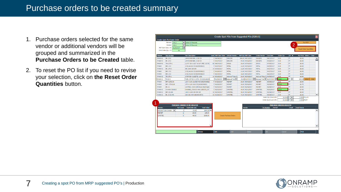- 1. Purchase orders selected for the same vendor or additional vendors will be grouped and summarized in the **Purchase Orders to be Created** table.
- 2. To reset the PO list if you need to revise your selection, click on **the Reset Order Quantities** button.

|                 |                                                  |                                              |                          |                               | Create Spot POs From Suggested POs [S2810] |                             |                            |                                |                 |                               |       |
|-----------------|--------------------------------------------------|----------------------------------------------|--------------------------|-------------------------------|--------------------------------------------|-----------------------------|----------------------------|--------------------------------|-----------------|-------------------------------|-------|
|                 | <b>Create Spot Purchase Order</b>                |                                              |                          |                               |                                            |                             |                            |                                |                 |                               |       |
|                 | $<$ ALL $>$<br>Planner:                          | Select All Records                           |                          |                               |                                            |                             |                            |                                |                 | Run MRP                       |       |
|                 | Vendor:<br>$<$ ALL $>$                           | Select All Records                           |                          |                               |                                            |                             |                            |                                | 2               |                               |       |
|                 | 06/29/2017<br>MRP Start Date $\leq$ =:           | 圖                                            |                          |                               |                                            |                             |                            |                                |                 | <b>Reset Order Quantities</b> |       |
|                 | Only Order Qty > 0:<br><b>No</b>                 |                                              |                          |                               |                                            |                             |                            |                                |                 |                               |       |
| Planner         | <b>Part Number</b>                               | <b>Part Description</b>                      | Lead: MRP Start Date:    | <b>Default Vendor:</b>        | <b>MRP Oty MRP Date</b>                    | <b>Order Vendor</b>         | <b>Due Date</b>            | <b>Order Oty</b>               | UM <sub>V</sub> | Pur Price Select              | Clear |
| P-RAW-S         | BR-.25-2                                         | 1/4 ROUND BAR, 1018 CD                       | 7 04/04/2017             | EARLEMI                       | 840.00 04/13/2017                          | <b>EARLEMJ</b>              | 04/13/2017                 | 0.00                           | FT.             | \$0.00                        |       |
| P-RAW-S         | BR-.25-2                                         | 1/4 ROUND BAR, 1018 CD                       | 7 04/17/2017             | EARLEMI                       | 84.00 04/26/2017                           | <b>EARLEMJ</b>              | 04/26/2017                 | 0.00                           | <b>FT</b>       | \$0.00                        |       |
| P-RAW-S         | TB-2.375-1                                       | 2.375" OD X .625" W CAT SPEC 1E1702          | 60 04/07/2017            | <b>EMJUS</b>                  | 20.00 07/05/2017                           | <b>EMJUS</b>                | 07/05/2017                 | 0.00                           | FT.             | \$0.00                        |       |
| P-RAW           | <b>BRS-.5-2</b>                                  | .5 SO A1018 CD (6829000822)                  | 7 03/27/2017             | <b>METAL</b>                  | 12.00 04/05/2017                           | <b>METAL</b>                | 04/05/2017                 | 0.00                           | FT.             | \$0.00                        |       |
| P-RAW-S         | BR-.375-3                                        | SRC 1045 3/8 DIA                             | 14 04/06/2017            | <b>METAL</b>                  | 12.00 04/27/2017                           | <b>METAL</b>                | 04/27/2017                 | 0.00                           | <b>FT</b>       | \$0.00                        |       |
| P-RAW           | BRS-.5-2                                         | .5 SO A1018 CD (6829000822)                  | 7 04/18/2017             | <b>METAL</b>                  | 12.00 04/27/2017                           | <b>METAL</b>                | 04/27/2017                 | 0.00                           | FT.             | \$0.00                        |       |
| P-RAW           | BRS-.5-2                                         | .5 SQ A1018 CD (6829000822)                  | 7 06/14/2017             | <b>METAL</b>                  | 10.00 06/23/2017                           | <b>METAL</b>                | 06/23/2017                 | 0.00                           | FT.             | \$0.00                        |       |
| P-RAW-S         | TB-3.75-1                                        | 3.750"OD X 2.625"ID, 1026                    | 14 05/15/2017            | National Tube Ca              | 20.00 06/05/2017                           | National Tube Ca 06/05/2017 |                            | 0.00                           | FT              | \$0.00                        |       |
| P-RAW-S         | $TB-3.5-1$                                       | TUBE, 3.5"OD X 2.5"ID CD 1026 (6829)         | m.<br>705/29/2017        | National Tub                  | 20.00 06/07/2017                           | National Tub   06/07/2017   | œ                          | 20.00                          | FT V            | \$22.00<br>Select             | Clear |
| P-RAW           | BRF-1.5X3.00                                     | 1.50 X 3.00 1018CD-MS-9/6829000822           | 7 04/26/2017             | <b>RESMET</b>                 | 20.00 05/05/2017                           | <b>RESMET</b>               | 05/05/2017                 | 0.00                           | <b>FT</b>       | \$0.00                        |       |
| P-RAW           | BRF-.375X1.00                                    | .375 X 1.00 1018 CD (6829000822)             | 7 04/28/2017             | <b>RESMET</b>                 | 20.00 05/09/2017                           | <b>RESMET</b>               | 05/09/2017                 | 20.00                          | FT.             | \$1.75                        |       |
| P-RAW           | $BR-2-1$                                         | 2.00"DIA, 1018 Cold Drawn Steel Spec         | 7 05/30/2017             | <b>RESMET</b>                 | 20.00 06/08/2017                           | <b>RESMET</b>               | 06/08/2017                 | 0.00                           | <b>FT</b>       | \$0.00                        |       |
| P-RAW-S         | CH-44W-C6X10.5                                   | CHANNEL, C6X10.5 44W (1E0170), 20'           | 7 05/03/2017             | <b>SIMSTEEL</b>               | 40.00 05/12/2017                           | <b>SIMSTEEL</b>             | 05/12/2017                 | 40.00                          | FT.             | \$7.00                        |       |
| P-RAW-S         | BRF-2X.188                                       | .188 X 2,000 GR 44W HR                       | 10 05/04/2017            | <b>SIMSTEEL</b>               | 40.00 05/18/2017                           | <b>SIMSTEEL</b>             | 05/18/2017                 | 0.00                           | <b>FT</b>       | \$0.00                        |       |
| P-RAW-S         | BR-.5 DIA HR                                     | .500 DIA 44W (6829002574)                    | 21 04/26/2017            | <b>SIMSTEEL</b>               | 72.00 05/26/2017                           | SIMSTEEL                    | 05/26/2017                 | 0.00                           | <b>FT</b>       | \$0.00                        |       |
|                 |                                                  |                                              |                          |                               |                                            |                             | Order Qty (Vend UM):       |                                | 20,0000 FT      | 1.0000 FT / FT                |       |
|                 |                                                  |                                              |                          |                               |                                            |                             | Order Qty (Count UM):      |                                | 20.0000 FT      | 1.0000 FT/FT                  |       |
|                 |                                                  |                                              |                          |                               |                                            |                             |                            |                                |                 |                               |       |
|                 |                                                  | <b>PURCHASE ORDERS TO BE CREATED</b>         |                          |                               |                                            |                             |                            | <b>PURCHASE ORDERS CREATED</b> |                 |                               |       |
| Vendor:         | <b>Part Count</b>                                | <b>Total Value</b><br><b>Total Order Qty</b> |                          |                               | Vendor                                     |                             | <b>PO Number</b><br>PO PDF |                                | Email           | <b>Email Status</b>           |       |
|                 | $\overline{\phantom{a}}$<br>National Tube Canada | $$440.00$ $\triangle$<br>20,00               |                          |                               |                                            |                             |                            |                                |                 |                               |       |
| <b>RESMET</b>   |                                                  | $\mathbf{1}$<br>20.00<br>\$35.00             |                          |                               |                                            |                             |                            |                                |                 |                               |       |
| <b>SIMSTEEL</b> |                                                  | 1<br>40.00<br>\$280,00                       |                          | <b>Create Purchase Orders</b> |                                            |                             |                            |                                |                 |                               |       |
|                 |                                                  |                                              |                          |                               |                                            |                             |                            |                                |                 |                               |       |
|                 |                                                  |                                              |                          |                               |                                            |                             |                            |                                |                 |                               |       |
|                 |                                                  |                                              |                          |                               |                                            |                             |                            |                                |                 |                               |       |
|                 |                                                  |                                              | $\overline{\phantom{a}}$ |                               |                                            |                             |                            |                                |                 |                               |       |
|                 |                                                  |                                              |                          |                               |                                            |                             |                            |                                |                 |                               |       |
|                 |                                                  | <b>Browse</b>                                | Edit                     | Add                           | Delete                                     |                             | <b>OK</b>                  | Cancel                         |                 | Print                         |       |

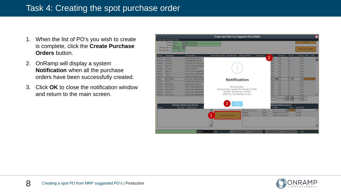## Task 4: Creating the spot purchase order

- 1. When the list of PO's you wish to create is complete, click the **Create Purchase Orders** button.
- 2. OnRamp will display a system **Notification** when all the purchase orders have been successfully created.
- 3. Click **OK** to close the notification window and return to the main screen.